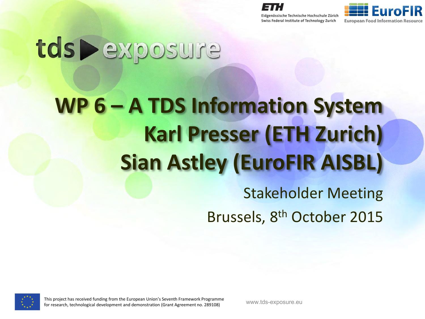



# tds Pexposure

# **WP 6 – A TDS Information System Karl Presser (ETH Zurich) Sian Astley (EuroFIR AISBL)**

Stakeholder Meeting Brussels, 8<sup>th</sup> October 2015

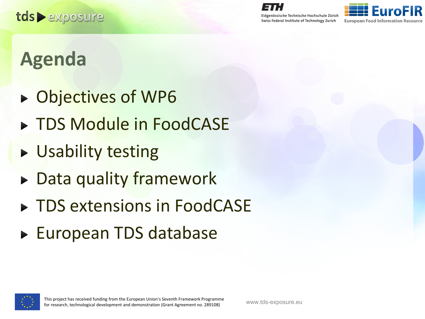

#### **Agenda**

- ▶ Objectives of WP6
- ▶ TDS Module in FoodCASE
- ▶ Usability testing
- ▶ Data quality framework
- ▶ TDS extensions in FoodCASE
- ► European TDS database

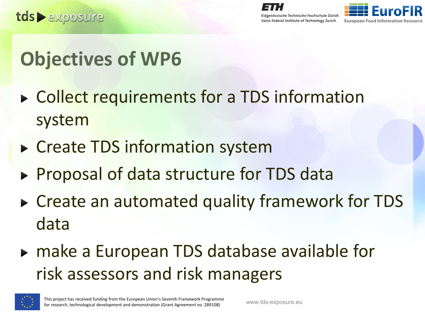

## **Objectives of WP6**

- ▶ Collect requirements for a TDS information system
- ▶ Create TDS information system
- Proposal of data structure for TDS data
- ▶ Create an automated quality framework for TDS data
- ► make a European TDS database available for risk assessors and risk managers

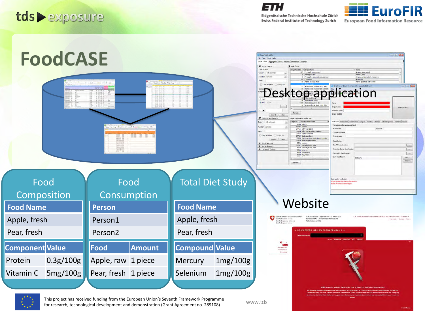









This project has received funding from the European Union's Seventh Framework Programme for research, technological development and demonstration (Grant Agreement no. 289108) www.tds-<br>- www.tds-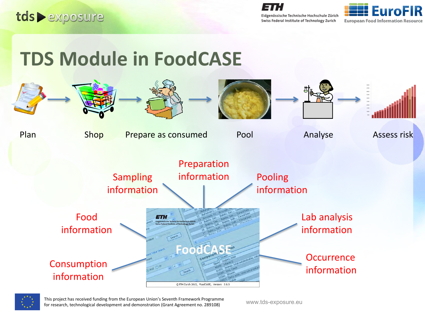





#### **TDS Module in FoodCASE**





This project has received funding from the European Union's Seventh Framework Programme filis project has received runding from the Edropean Onion's Severith Framework Programme<br>for research, technological development and demonstration (Grant Agreement no. 289108) www.tds-exposure.eu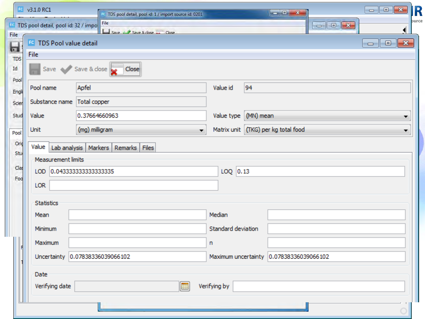|                          | $Fc$ v3.1.0 RC1                     |                     | <sup>10</sup> TDS pool detail, pool id: 1 / import source id: 0201 |   |                     |           |                         | $\blacksquare$ $\blacksquare$ $\blacksquare$ $\blacksquare$ | R     |
|--------------------------|-------------------------------------|---------------------|--------------------------------------------------------------------|---|---------------------|-----------|-------------------------|-------------------------------------------------------------|-------|
|                          | TDS pool detail, pool id: 32 / impo |                     | File<br>Save of Save & dose _____ Close                            |   |                     |           |                         |                                                             | purce |
| File<br>Ы                | FC TDS Pool value detail<br>File    |                     |                                                                    |   |                     |           |                         | $\blacksquare$ $\blacksquare$ $\blacksquare$                |       |
| <b>TDS</b><br>Id<br>Pool | Save <                              | Save & close        | Close:                                                             |   |                     |           |                         |                                                             |       |
| Engli                    | Pool name                           | Apfel               |                                                                    |   | Value id            | 94        |                         |                                                             |       |
| Scier                    | Substance name                      | Total copper        |                                                                    |   |                     |           |                         |                                                             |       |
| Stud                     | Value                               |                     | 0.37664660963                                                      |   | Value type          | (MN) mean |                         | ▼                                                           |       |
| Pool                     | Unit                                | (mg) milligram      |                                                                    | ÷ | Matrix unit         |           | (TKG) per kg total food | ۰                                                           |       |
| Orio                     | Value                               | Lab analysis        | Markers Remarks Files                                              |   |                     |           |                         |                                                             |       |
| Stu                      | Measurement limits                  |                     |                                                                    |   |                     |           |                         |                                                             |       |
| Clas<br>Foo              | LOD                                 | 0.04333333333333335 |                                                                    |   | $LOQ$ 0.13          |           |                         |                                                             |       |
|                          | <b>LOR</b>                          |                     |                                                                    |   |                     |           |                         |                                                             |       |
|                          | <b>Statistics</b>                   |                     |                                                                    |   |                     |           |                         |                                                             |       |
|                          | Mean                                |                     |                                                                    |   | Median              |           |                         |                                                             |       |
|                          | Minimum                             |                     |                                                                    |   | Standard deviation  |           |                         |                                                             |       |
|                          | Maximum                             |                     |                                                                    |   | n                   |           |                         |                                                             |       |
|                          | Uncertainty                         |                     | 0.07838336039066102                                                |   | Maximum uncertainty |           | 0.07838336039066102     |                                                             |       |
|                          | Date                                |                     |                                                                    |   |                     |           |                         |                                                             |       |
|                          | Verifying date                      |                     |                                                                    | E | Verifying by        |           |                         |                                                             |       |
|                          |                                     |                     |                                                                    |   |                     |           |                         |                                                             |       |
|                          |                                     |                     |                                                                    |   |                     |           |                         |                                                             |       |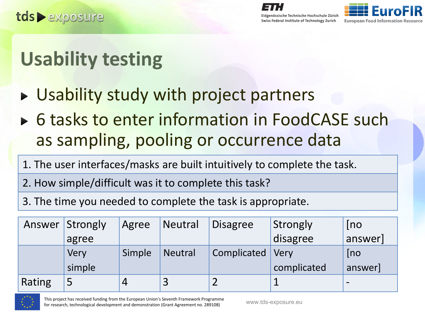

# **Usability testing**

- ► Usability study with project partners
- ▶ 6 tasks to enter information in FoodCASE such as sampling, pooling or occurrence data
- 1. The user interfaces/masks are built intuitively to complete the task.
- 2. How simple/difficult was it to complete this task?
- 3. The time you needed to complete the task is appropriate.

|        | Answer Strongly | Agree          | <b>Neutral</b> | <b>Disagree</b> | Strongly    | [no]     |
|--------|-----------------|----------------|----------------|-----------------|-------------|----------|
|        | agree           |                |                |                 | disagree    | answer   |
|        | Very            | Simple         | <b>Neutral</b> | Complicated     | <b>Very</b> | [no]     |
|        | simple          |                |                |                 | complicated | answer   |
| Rating | 5               | $\overline{4}$ |                |                 |             | $\equiv$ |

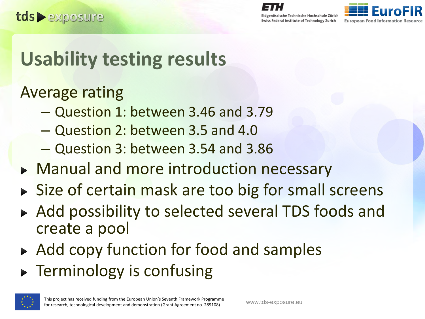Swiss Federal Institute of Technology Zurich



#### **Usability testing results**

#### Average rating

- Question 1: between 3.46 and 3.79
- Question 2: between 3.5 and 4.0
- Question 3: between 3.54 and 3.86
- Manual and more introduction necessary
- Size of certain mask are too big for small screens
- ▶ Add possibility to selected several TDS foods and create a pool
- ► Add copy function for food and samples
- **F** Terminology is confusing

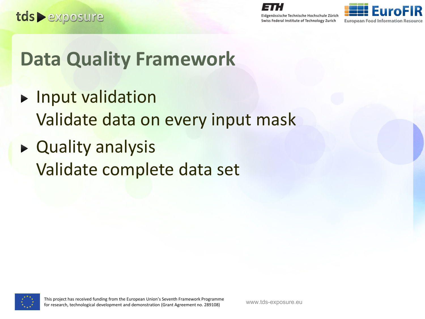

Eidgenössische Technische Hochschule Zürich

Swiss Federal Institute of Technology Zurich



#### **Data Quality Framework**

- **Input validation** Validate data on every input mask
- ▶ Quality analysis Validate complete data set

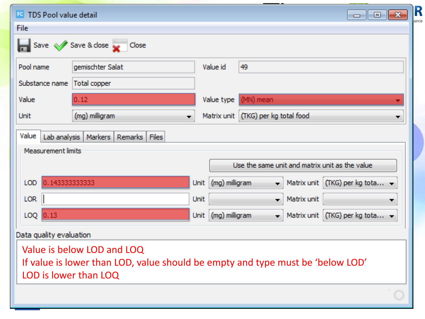| <b>EC</b> TDS Pool value detail |                                                                                                              |      |                     |                                     |             | R<br>$\Box$ $\Box$ $\Box$<br>urce              |
|---------------------------------|--------------------------------------------------------------------------------------------------------------|------|---------------------|-------------------------------------|-------------|------------------------------------------------|
| File                            |                                                                                                              |      |                     |                                     |             |                                                |
|                                 | Save Save & close                                                                                            |      |                     |                                     |             |                                                |
| Pool name                       | gemischter Salat                                                                                             |      | Value id            | 49                                  |             |                                                |
| Substance name                  | Total copper                                                                                                 |      |                     |                                     |             |                                                |
| Value                           | 0.12                                                                                                         |      | Value type          | (MN) mean                           |             |                                                |
| Unit                            | (mg) milligram                                                                                               |      |                     | Matrix unit (TKG) per kg total food |             |                                                |
| Value                           | Lab analysis   Markers   Remarks   Files                                                                     |      |                     |                                     |             |                                                |
| <b>Measurement limits</b>       |                                                                                                              |      |                     |                                     |             |                                                |
|                                 |                                                                                                              |      |                     |                                     |             | Use the same unit and matrix unit as the value |
| 0.143333333333<br>LOD           |                                                                                                              | Unit | (mg) milligram      |                                     |             | Matrix unit (TKG) per kg tota                  |
| <b>LOR</b>                      |                                                                                                              | Unit |                     |                                     | Matrix unit |                                                |
| $LOQ$ $0.13$                    |                                                                                                              |      | Unit (mg) milligram |                                     |             | - Matrix unit (TKG) per kg tota                |
| Data quality evaluation         |                                                                                                              |      |                     |                                     |             |                                                |
| LOD is lower than LOQ           | Value is below LOD and LOQ<br>If value is lower than LOD, value should be empty and type must be 'below LOD' |      |                     |                                     |             |                                                |
|                                 |                                                                                                              |      |                     |                                     |             |                                                |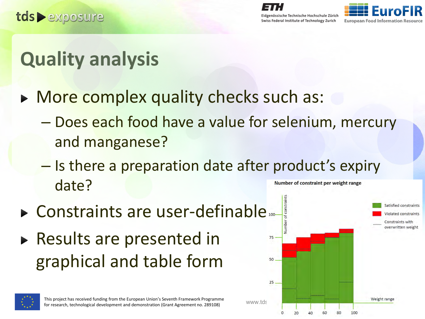

### **Quality analysis**

- More complex quality checks such as:
	- Does each food have a value for selenium, mercury and manganese?
	- Is there a preparation date after product's expiry date? Number of constraint per weight range
- **Example 10 Ferror Constraints are user-definable**
- ▶ Results are presented in graphical and table form



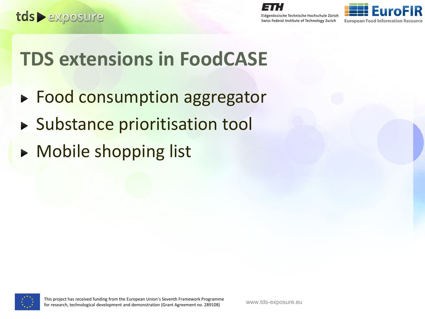



#### **TDS extensions in FoodCASE**

- ► Food consumption aggregator
- **> Substance prioritisation tool**
- **Mobile shopping list**

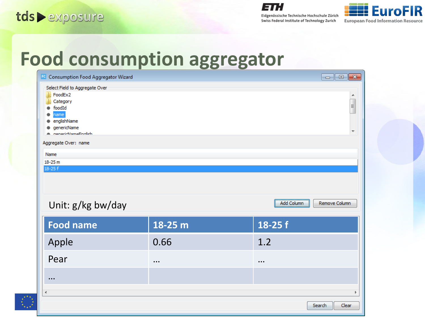



#### **Food consumption aggregator**

| FC Consumption Food Aggregator Wizard                                                                                            |           | $\begin{array}{c c c c c c} \hline \multicolumn{3}{c }{\mathbf{C}} & \multicolumn{3}{c }{\mathbf{S}} & \multicolumn{3}{c }{\mathbf{S}} \end{array}$ |
|----------------------------------------------------------------------------------------------------------------------------------|-----------|-----------------------------------------------------------------------------------------------------------------------------------------------------|
| Select Field to Aggregate Over<br>FoodEx2<br>Category<br>foodId<br>۰<br>name<br>englishName<br>qenericName<br>nenericNameEnglich |           | ۸<br>$\equiv$<br>$\overline{\nabla}$                                                                                                                |
| Aggregate Over: name                                                                                                             |           |                                                                                                                                                     |
| Name                                                                                                                             |           |                                                                                                                                                     |
| 18-25 m<br>$18 - 25f$                                                                                                            |           |                                                                                                                                                     |
|                                                                                                                                  |           |                                                                                                                                                     |
| Unit: g/kg bw/day                                                                                                                |           | Add Column<br>Remove Column                                                                                                                         |
| <b>Food name</b>                                                                                                                 | 18-25 m   | 18-25 f                                                                                                                                             |
| Apple                                                                                                                            | 0.66      | 1.2                                                                                                                                                 |
| Pear                                                                                                                             | $\ddotsc$ | $\ddotsc$                                                                                                                                           |
| $\ddotsc$                                                                                                                        |           |                                                                                                                                                     |
| $\blacktriangleleft$                                                                                                             |           |                                                                                                                                                     |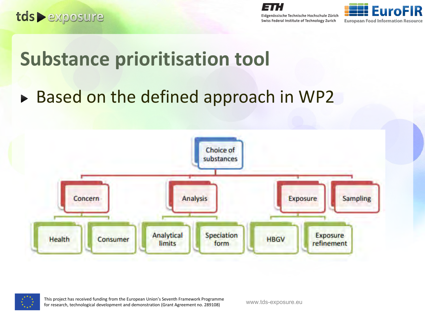



#### **Substance prioritisation tool**

► Based on the defined approach in WP2





This project has received funding from the European Union's Seventh Framework Programme filis project has received runding from the edropean onion's seventh Framework Programme<br>for research, technological development and demonstration (Grant Agreement no. 289108) www.tds-exposure.eu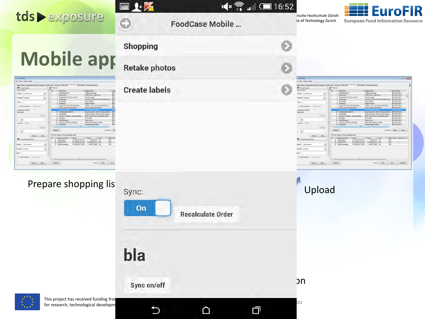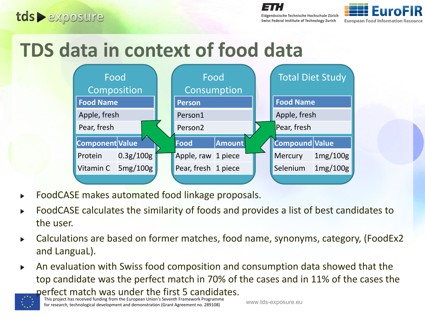tds exposure

Eidgenössische Technische Hochschule Zürich Swiss Federal Institute of Technology Zurich



# **TDS data in context of food data**



- FoodCASE makes automated food linkage proposals.
- FoodCASE calculates the similarity of foods and provides a list of best candidates to the user.
- Calculations are based on former matches, food name, synonyms, category, (FoodEx2  $\blacktriangleright$ and LanguaL).
- An evaluation with Swiss food composition and consumption data showed that the  $\blacktriangleright$ top candidate was the perfect match in 70% of the cases and in 11% of the cases the perfect match was under the first 5 candidates.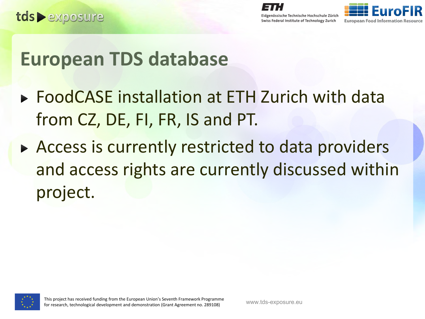

#### **European TDS database**

- ▶ FoodCASE installation at ETH Zurich with data from CZ, DE, FI, FR, IS and PT.
- Access is currently restricted to data providers and access rights are currently discussed within project.